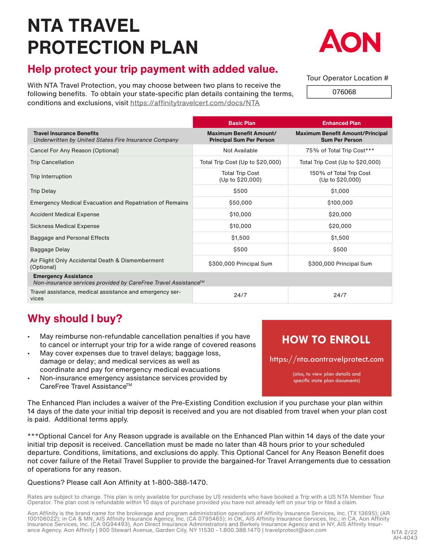# **NTA TRAVEL PROTECTION PLAN**



## **Help protect your trip payment with added value.**

With NTA Travel Protection, you may choose between two plans to receive the following benefits. To obtain your state-specific plan details containing the terms, conditions and exclusions, visit https://affinitytravelcert.com/docs/NTA

#### Tour Operator Location #

076068

|                                                                                               | <b>Basic Plan</b>                                                 | <b>Enhanced Plan</b>                                             |  |  |
|-----------------------------------------------------------------------------------------------|-------------------------------------------------------------------|------------------------------------------------------------------|--|--|
| <b>Travel Insurance Benefits</b><br>Underwritten by United States Fire Insurance Company      | <b>Maximum Benefit Amount/</b><br><b>Principal Sum Per Person</b> | <b>Maximum Benefit Amount/Principal</b><br><b>Sum Per Person</b> |  |  |
| Cancel For Any Reason (Optional)                                                              | Not Available                                                     | 75% of Total Trip Cost***                                        |  |  |
| <b>Trip Cancellation</b>                                                                      | Total Trip Cost (Up to \$20,000)                                  | Total Trip Cost (Up to \$20,000)                                 |  |  |
| Trip Interruption                                                                             | <b>Total Trip Cost</b><br>(Up to \$20,000)                        | 150% of Total Trip Cost<br>(Up to \$20,000)                      |  |  |
| <b>Trip Delay</b>                                                                             | \$500                                                             | \$1,000                                                          |  |  |
| <b>Emergency Medical Evacuation and Repatriation of Remains</b>                               | \$50,000                                                          | \$100,000                                                        |  |  |
| <b>Accident Medical Expense</b>                                                               | \$10,000                                                          | \$20,000                                                         |  |  |
| <b>Sickness Medical Expense</b>                                                               | \$10,000                                                          | \$20,000                                                         |  |  |
| Baggage and Personal Effects                                                                  | \$1,500                                                           | \$1,500                                                          |  |  |
| Baggage Delay                                                                                 | \$500                                                             | \$500                                                            |  |  |
| Air Flight Only Accidental Death & Dismemberment<br>(Optional)                                | \$300,000 Principal Sum                                           | \$300,000 Principal Sum                                          |  |  |
| <b>Emergency Assistance</b><br>Non-insurance services provided by CareFree Travel Assistance™ |                                                                   |                                                                  |  |  |
| Travel assistance, medical assistance and emergency ser-<br>vices                             | 24/7                                                              | 24/7                                                             |  |  |

## **Why should I buy?**

- May reimburse non-refundable cancellation penalties if you have to cancel or interrupt your trip for a wide range of covered reasons
- May cover expenses due to travel delays; baggage loss, damage or delay; and medical services as well as coordinate and pay for emergency medical evacuations
- Non-insurance emergency assistance services provided by CareFree Travel Assistance™

## **HOW TO ENROLL**

https://nta.aontravelprotect.com

(also, to view plan details and specific state plan documents)

The Enhanced Plan includes a waiver of the Pre-Existing Condition exclusion if you purchase your plan within 14 days of the date your initial trip deposit is received and you are not disabled from travel when your plan cost is paid. Additional terms apply.

\*\*\*Optional Cancel for Any Reason upgrade is available on the Enhanced Plan within 14 days of the date your initial trip deposit is received. Cancellation must be made no later than 48 hours prior to your scheduled departure. Conditions, limitations, and exclusions do apply. This Optional Cancel for Any Reason Benefit does not cover failure of the Retail Travel Supplier to provide the bargained-for Travel Arrangements due to cessation of operations for any reason.

#### Questions? Please call Aon Affinity at 1-800-388-1470.

Rates are subject to change. This plan is only available for purchase by US residents who have booked a Trip with a US NTA Member Tour Operator. The plan cost is refundable within 10 days of purchase provided you have not already left on your trip or filed a claim.

Aon Affinity is the brand name for the brokerage and program administration operations of Affinity Insurance Services, Inc. (TX 13695); (AR 100106022); in CA & MN, AIS Affinity Insurance Agency, Inc. (CA 0795465); in OK, AIS Affinity Insurance Services, Inc.; in CA, Aon Affinity<br>Insurance Services, Inc. (CA 0G94493), Aon Direct Insurance Administrators and Ber ance Agency. Aon Affinity | 900 Stewart Avenue, Garden City, NY 11530 - 1.800.388.1470 | travelprotect@aon.com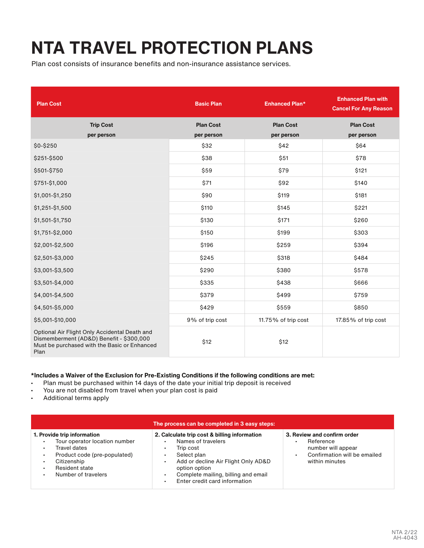## **NTA TRAVEL PROTECTION PLANS**

Plan cost consists of insurance benefits and non-insurance assistance services.

| <b>Plan Cost</b>                                                                                                                                  | <b>Basic Plan</b> | <b>Enhanced Plan*</b> | <b>Enhanced Plan with</b><br><b>Cancel For Any Reason</b> |
|---------------------------------------------------------------------------------------------------------------------------------------------------|-------------------|-----------------------|-----------------------------------------------------------|
| <b>Trip Cost</b>                                                                                                                                  | <b>Plan Cost</b>  | <b>Plan Cost</b>      | <b>Plan Cost</b>                                          |
| per person                                                                                                                                        | per person        | per person            | per person                                                |
| \$0-\$250                                                                                                                                         | \$32              | \$42                  | \$64                                                      |
| \$251-\$500                                                                                                                                       | \$38              | \$51                  | \$78                                                      |
| \$501-\$750                                                                                                                                       | \$59              | \$79                  | \$121                                                     |
| \$751-\$1,000                                                                                                                                     | \$71              | \$92                  | \$140                                                     |
| \$1,001-\$1,250                                                                                                                                   | \$90              | \$119                 | \$181                                                     |
| \$1,251-\$1,500                                                                                                                                   | \$110             | \$145                 | \$221                                                     |
| \$1,501-\$1,750                                                                                                                                   | \$130             | \$171                 | \$260                                                     |
| \$1,751-\$2,000                                                                                                                                   | \$150             | \$199                 | \$303                                                     |
| \$2,001-\$2,500                                                                                                                                   | \$196             | \$259                 | \$394                                                     |
| \$2,501-\$3,000                                                                                                                                   | \$245             | \$318                 | \$484                                                     |
| \$3,001-\$3,500                                                                                                                                   | \$290             | \$380                 | \$578                                                     |
| \$3,501-\$4,000                                                                                                                                   | \$335             | \$438                 | \$666                                                     |
| \$4,001-\$4,500                                                                                                                                   | \$379             | \$499                 | \$759                                                     |
| \$4,501-\$5,000                                                                                                                                   | \$429             | \$559                 | \$850                                                     |
| \$5,001-\$10,000                                                                                                                                  | 9% of trip cost   | 11.75% of trip cost   | 17.85% of trip cost                                       |
| Optional Air Flight Only Accidental Death and<br>Dismemberment (AD&D) Benefit - \$300,000<br>Must be purchased with the Basic or Enhanced<br>Plan | \$12              | \$12                  |                                                           |

#### **\*Includes a Waiver of the Exclusion for Pre-Existing Conditions if the following conditions are met:**

- Plan must be purchased within 14 days of the date your initial trip deposit is received
- You are not disabled from travel when your plan cost is paid
- Additional terms apply

| The process can be completed in 3 easy steps:                                                                                                                                   |                                                                                                                                                                                                                                |                                                                                                                                                      |  |
|---------------------------------------------------------------------------------------------------------------------------------------------------------------------------------|--------------------------------------------------------------------------------------------------------------------------------------------------------------------------------------------------------------------------------|------------------------------------------------------------------------------------------------------------------------------------------------------|--|
| 1. Provide trip information<br>Tour operator location number<br>Travel dates<br>٠.<br>Product code (pre-populated)<br>٠<br>Citizenship<br>Resident state<br>Number of travelers | 2. Calculate trip cost & billing information<br>Names of travelers<br>Trip cost<br>Select plan<br>Add or decline Air Flight Only AD&D<br>option option<br>Complete mailing, billing and email<br>Enter credit card information | 3. Review and confirm order<br>Reference<br>$\blacksquare$<br>number will appear<br>Confirmation will be emailed<br>$\blacksquare$<br>within minutes |  |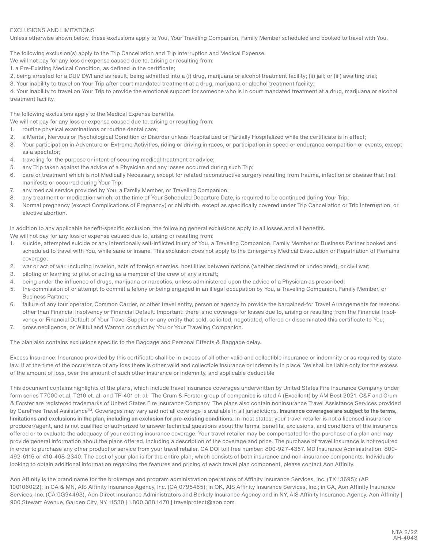#### EXCLUSIONS AND LIMITATIONS

Unless otherwise shown below, these exclusions apply to You, Your Traveling Companion, Family Member scheduled and booked to travel with You.

The following exclusion(s) apply to the Trip Cancellation and Trip Interruption and Medical Expense.

We will not pay for any loss or expense caused due to, arising or resulting from:

1. a Pre-Existing Medical Condition, as defined in the certificate;

2. being arrested for a DUI/ DWI and as result, being admitted into a (i) drug, marijuana or alcohol treatment facility; (ii) jail; or (iii) awaiting trial;

3. Your inability to travel on Your Trip after court mandated treatment at a drug, marijuana or alcohol treatment facility;

4. Your inability to travel on Your Trip to provide the emotional support for someone who is in court mandated treatment at a drug, marijuana or alcohol treatment facility.

The following exclusions apply to the Medical Expense benefits.

We will not pay for any loss or expense caused due to, arising or resulting from:

- 1. routine physical examinations or routine dental care;
- 2. a Mental, Nervous or Psychological Condition or Disorder unless Hospitalized or Partially Hospitalized while the certificate is in effect;
- 3. Your participation in Adventure or Extreme Activities, riding or driving in races, or participation in speed or endurance competition or events, except as a spectator;
- 4. traveling for the purpose or intent of securing medical treatment or advice;
- 5. any Trip taken against the advice of a Physician and any losses occurred during such Trip;
- 6. care or treatment which is not Medically Necessary, except for related reconstructive surgery resulting from trauma, infection or disease that first manifests or occurred during Your Trip;
- 7. any medical service provided by You, a Family Member, or Traveling Companion;
- 8. any treatment or medication which, at the time of Your Scheduled Departure Date, is required to be continued during Your Trip;
- 9. Normal pregnancy (except Complications of Pregnancy) or childbirth, except as specifically covered under Trip Cancellation or Trip Interruption, or elective abortion.

In addition to any applicable benefit-specific exclusion, the following general exclusions apply to all losses and all benefits. We will not pay for any loss or expense caused due to, arising or resulting from:

- 1. suicide, attempted suicide or any intentionally self-inflicted injury of You, a Traveling Companion, Family Member or Business Partner booked and scheduled to travel with You, while sane or insane. This exclusion does not apply to the Emergency Medical Evacuation or Repatriation of Remains coverage;
- 2. war or act of war, including invasion, acts of foreign enemies, hostilities between nations (whether declared or undeclared), or civil war;
- 3. piloting or learning to pilot or acting as a member of the crew of any aircraft;
- 4. being under the influence of drugs, marijuana or narcotics, unless administered upon the advice of a Physician as prescribed;
- 5. the commission of or attempt to commit a felony or being engaged in an illegal occupation by You, a Traveling Companion, Family Member, or Business Partner;
- 6. failure of any tour operator, Common Carrier, or other travel entity, person or agency to provide the bargained-for Travel Arrangements for reasons other than Financial Insolvency or Financial Default. Important: there is no coverage for losses due to, arising or resulting from the Financial Insolvency or Financial Default of Your Travel Supplier or any entity that sold, solicited, negotiated, offered or disseminated this certificate to You;
- 7. gross negligence, or Willful and Wanton conduct by You or Your Traveling Companion.

The plan also contains exclusions specific to the Baggage and Personal Effects & Baggage delay.

Excess Insurance: Insurance provided by this certificate shall be in excess of all other valid and collectible insurance or indemnity or as required by state law. If at the time of the occurrence of any loss there is other valid and collectible insurance or indemnity in place, We shall be liable only for the excess of the amount of loss, over the amount of such other insurance or indemnity, and applicable deductible

This document contains highlights of the plans, which include travel insurance coverages underwritten by United States Fire Insurance Company under form series T7000 et.al, T210 et. al. and TP-401 et. al. The Crum & Forster group of companies is rated A (Excellent) by AM Best 2021. C&F and Crum & Forster are registered trademarks of United States Fire Insurance Company. The plans also contain noninsurance Travel Assistance Services provided by CareFree Travel Assistance™. Coverages may vary and not all coverage is available in all jurisdictions. Insurance coverages are subject to the terms, **limitations and exclusions in the plan, including an exclusion for pre-existing conditions.** In most states, your travel retailer is not a licensed insurance producer/agent, and is not qualified or authorized to answer technical questions about the terms, benefits, exclusions, and conditions of the insurance offered or to evaluate the adequacy of your existing insurance coverage. Your travel retailer may be compensated for the purchase of a plan and may provide general information about the plans offered, including a description of the coverage and price. The purchase of travel insurance is not required in order to purchase any other product or service from your travel retailer. CA DOI toll free number: 800-927-4357. MD Insurance Administration: 800- 492-6116 or 410-468-2340. The cost of your plan is for the entire plan, which consists of both insurance and non-insurance components. Individuals looking to obtain additional information regarding the features and pricing of each travel plan component, please contact Aon Affinity.

Aon Affinity is the brand name for the brokerage and program administration operations of Affinity Insurance Services, Inc. (TX 13695); (AR 100106022); in CA & MN, AIS Affinity Insurance Agency, Inc. (CA 0795465); in OK, AIS Affinity Insurance Services, Inc.; in CA, Aon Affinity Insurance Services, Inc. (CA 0G94493), Aon Direct Insurance Administrators and Berkely Insurance Agency and in NY, AIS Affinity Insurance Agency. Aon Affinity | 900 Stewart Avenue, Garden City, NY 11530 | 1.800.388.1470 | travelprotect@aon.com